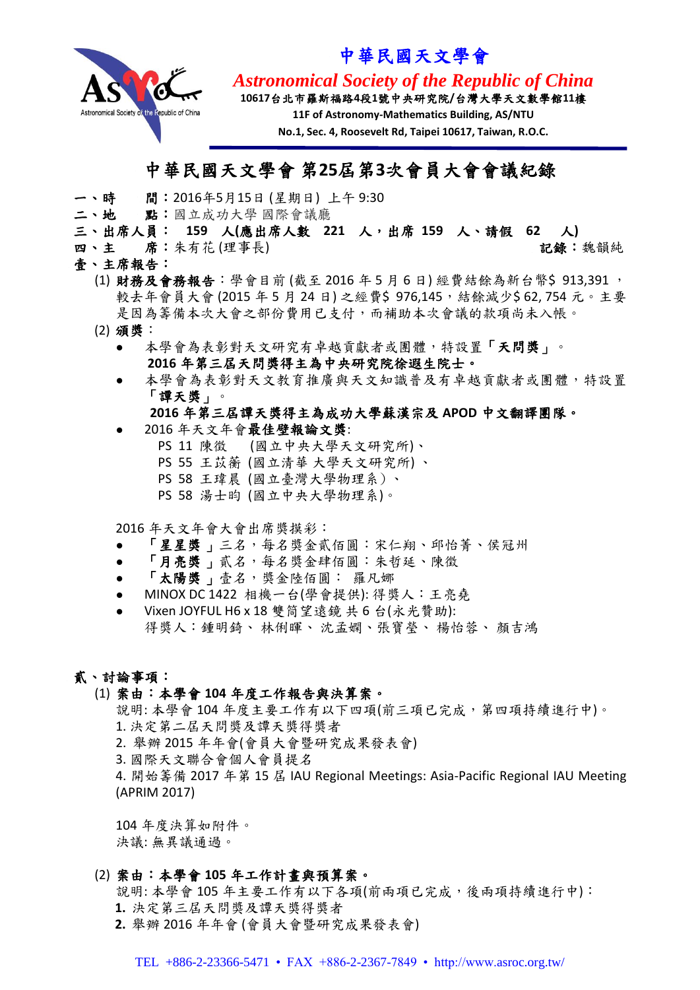

中華民國天文學會 *Astronomical Society of the Republic of China*

**10617**台北市羅斯福路**4**段**1**號中央研究院**/**台灣大學天文數學館**11**樓

**11F of Astronomy-Mathematics Building, AS/NTU No.1, Sec. 4, Roosevelt Rd, Taipei 10617, Taiwan, R.O.C.**

# 中華民國天文學會 第**25**屆第**3**次會員大會會議紀錄

- 一、時 間:2016年5月15日 (星期日) 上午 9:30
- 二、地 點:國立成功大學 國際會議廳

三、出席人員: **159** 人**(**應出席人數 **221** 人,出席 **159** 人、請假 **62** 人**)**

- 四、主 席:朱有花(理事長) アンチ こうしゃ こうしゃ 記録:魏韻純
- 壹、主席報告:

(1) 財務及會務報告:學會目前(截至2016年5月6日)經費結餘為新台幣\$ 913,391, 較去年會員大會 (2015年5月24日)之經費\$ 976,145,結餘減少\$ 62,754元。主要 是因為籌備本次大會之部份費用已支付,而補助本次會議的款項尚未入帳。

- (2) 頒獎:
	- 本學會為表彰對天文研究有卓越貢獻者或團體,特設置「天問獎」。 **2016** 年第三屆天問獎得主為中央研究院徐遐生院士。
	- 本學會為表彰對天文教育推廣與天文知識普及有卓越貢獻者或團體,特設置 「譚天獎」。
		- **2016** 年第三屆譚天獎得主為成功大學蘇漢宗及 **APOD** 中文翻譯團隊。
	- 2016 年天文年會最佳壁報論文獎:
		- PS 11 陳徵 (國立中央大學天文研究所)、
		- PS 55 王苡蘅 (國立清華 大學天文研究所) 、
		- PS 58 王瑋晨 (國立臺灣大學物理系) 、

PS 58 湯士昀 (國立中央大學物理系)。

2016 年天文年會大會出席獎摸彩:

- 「星星獎 」三名,每名獎金貳佰圓:宋仁翔、邱怡菁、侯冠州
- 「月亮獎 」貳名,每名獎金肆佰圓:朱哲延、陳徵
- 「太陽獎 」壹名,獎金陸佰圓: 羅凡娜
- MINOX DC 1422 相機一台(學會提供): 得獎人:王亮堯
- Vixen JOYFUL H6 x 18 雙筒望遠鏡 共 6 台(永光贊助): 得獎人:鍾明錡、 林俐暉、 沈孟嫻、張寶瑩、 楊怡蓉、 顏吉鴻

### 貳、討論事項:

#### (1) 案由:本學會 **104** 年度工作報告與決算案。

說明: 本學會 104 年度主要工作有以下四項(前三項已完成,第四項持續進行中)。 1. 決定第二屆天問獎及譚天獎得獎者 2. 舉辦 2015 年年會(會員大會暨研究成果發表會) 3. 國際天文聯合會個人會員提名 4. 開始籌備 2017 年第 15 屆 IAU Regional Meetings: Asia-Pacific Regional IAU Meeting (APRIM 2017)

104 年度決算如附件。 決議: 無異議通過。

#### (2) 案由:本學會 **105** 年工作計畫與預算案。

說明:本學會105年主要工作有以下各項(前兩項已完成,後兩項持續進行中): **1.** 決定第三屆天問獎及譚天獎得獎者 **2.** 舉辦 2016 年年會 (會員大會暨研究成果發表會)